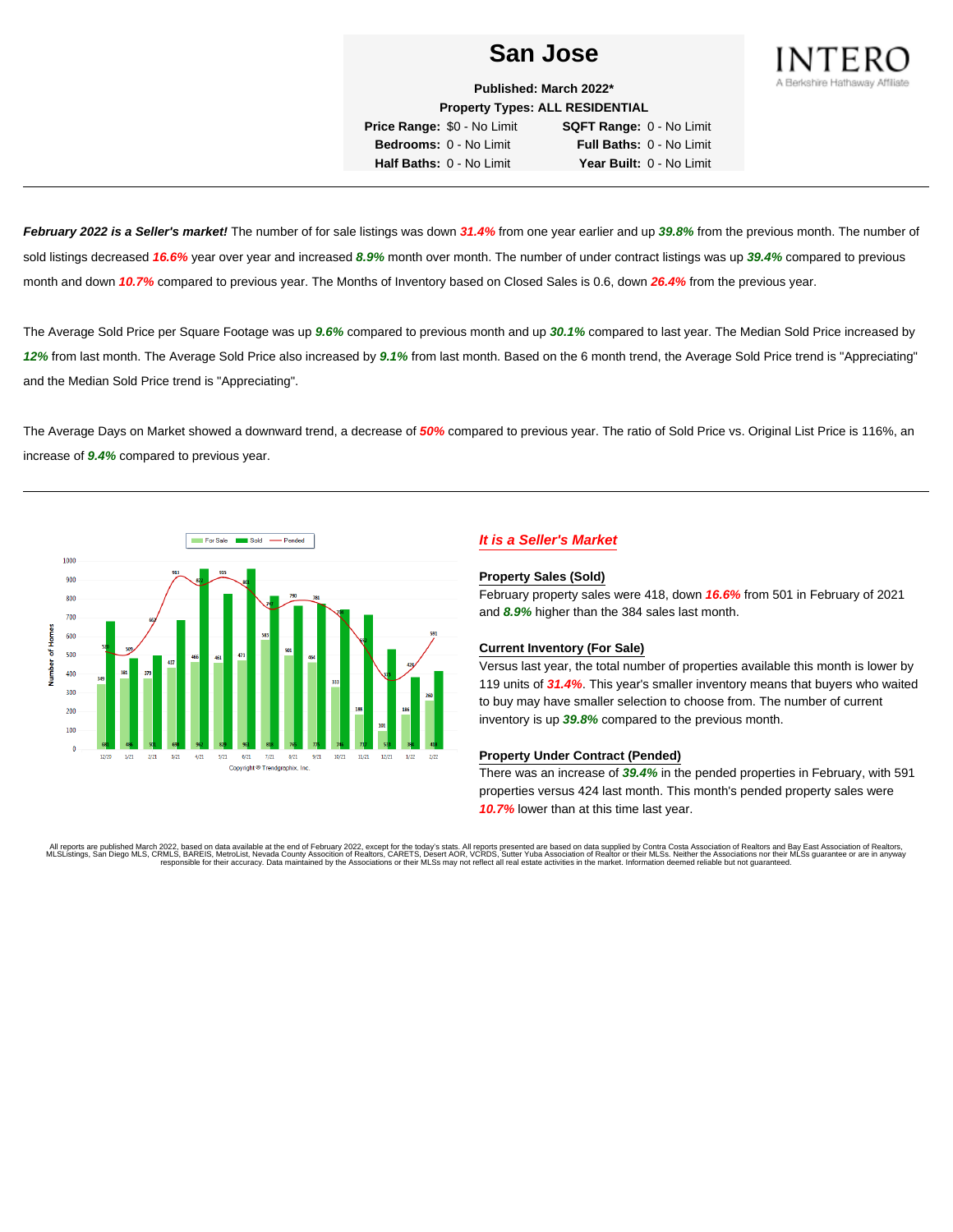

**Published: March 2022\* Property Types: ALL RESIDENTIAL Price Range:** \$0 - No Limit **SQFT Range:** 0 - No Limit **Bedrooms:** 0 - No Limit **Full Baths:** 0 - No Limit

**Half Baths:** 0 - No Limit **Year Built:** 0 - No Limit

**February 2022 is a Seller's market!** The number of for sale listings was down **31.4%** from one year earlier and up **39.8%** from the previous month. The number of sold listings decreased **16.6%** year over year and increased **8.9%** month over month. The number of under contract listings was up **39.4%** compared to previous month and down **10.7%** compared to previous year. The Months of Inventory based on Closed Sales is 0.6, down **26.4%** from the previous year.

The Average Sold Price per Square Footage was up **9.6%** compared to previous month and up **30.1%** compared to last year. The Median Sold Price increased by **12%** from last month. The Average Sold Price also increased by **9.1%** from last month. Based on the 6 month trend, the Average Sold Price trend is "Appreciating" and the Median Sold Price trend is "Appreciating".

The Average Days on Market showed a downward trend, a decrease of **50%** compared to previous year. The ratio of Sold Price vs. Original List Price is 116%, an increase of **9.4%** compared to previous year.



## **It is a Seller's Market**

#### **Property Sales (Sold)**

February property sales were 418, down **16.6%** from 501 in February of 2021 and **8.9%** higher than the 384 sales last month.

### **Current Inventory (For Sale)**

Versus last year, the total number of properties available this month is lower by 119 units of **31.4%**. This year's smaller inventory means that buyers who waited to buy may have smaller selection to choose from. The number of current inventory is up **39.8%** compared to the previous month.

### **Property Under Contract (Pended)**

There was an increase of **39.4%** in the pended properties in February, with 591 properties versus 424 last month. This month's pended property sales were **10.7%** lower than at this time last year.

All reports are published March 2022, based on data available at the end of February 2022, except for the today's stats. All reports presented are based on data supplied by Contra Costa Association of Realtors and Bay East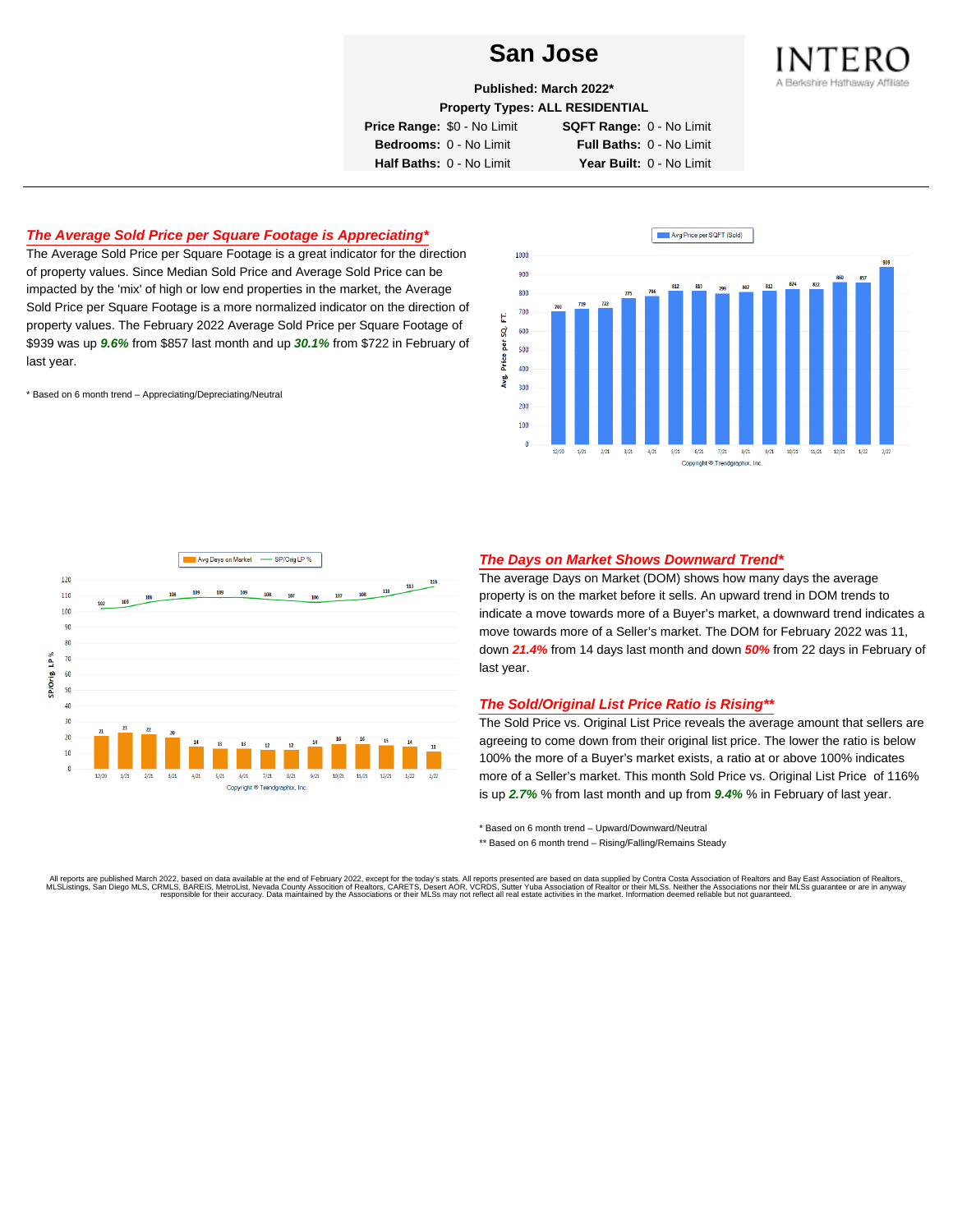

**Published: March 2022\***

**Property Types: ALL RESIDENTIAL**

**Price Range:** \$0 - No Limit **SQFT Range:** 0 - No Limit

**Bedrooms:** 0 - No Limit **Full Baths:** 0 - No Limit **Half Baths:** 0 - No Limit **Year Built:** 0 - No Limit

## **The Average Sold Price per Square Footage is Appreciating\***

The Average Sold Price per Square Footage is a great indicator for the direction of property values. Since Median Sold Price and Average Sold Price can be impacted by the 'mix' of high or low end properties in the market, the Average Sold Price per Square Footage is a more normalized indicator on the direction of property values. The February 2022 Average Sold Price per Square Footage of \$939 was up **9.6%** from \$857 last month and up **30.1%** from \$722 in February of last year.

\* Based on 6 month trend – Appreciating/Depreciating/Neutral





### **The Days on Market Shows Downward Trend\***

The average Days on Market (DOM) shows how many days the average property is on the market before it sells. An upward trend in DOM trends to indicate a move towards more of a Buyer's market, a downward trend indicates a move towards more of a Seller's market. The DOM for February 2022 was 11, down **21.4%** from 14 days last month and down **50%** from 22 days in February of last year.

### **The Sold/Original List Price Ratio is Rising\*\***

The Sold Price vs. Original List Price reveals the average amount that sellers are agreeing to come down from their original list price. The lower the ratio is below 100% the more of a Buyer's market exists, a ratio at or above 100% indicates more of a Seller's market. This month Sold Price vs. Original List Price of 116% is up **2.7%** % from last month and up from **9.4%** % in February of last year.

\* Based on 6 month trend – Upward/Downward/Neutral

\*\* Based on 6 month trend - Rising/Falling/Remains Steady

All reports are published March 2022, based on data available at the end of February 2022, except for the today's stats. All reports presented are based on data supplied by Contra Costa Association of Realtors and Bay East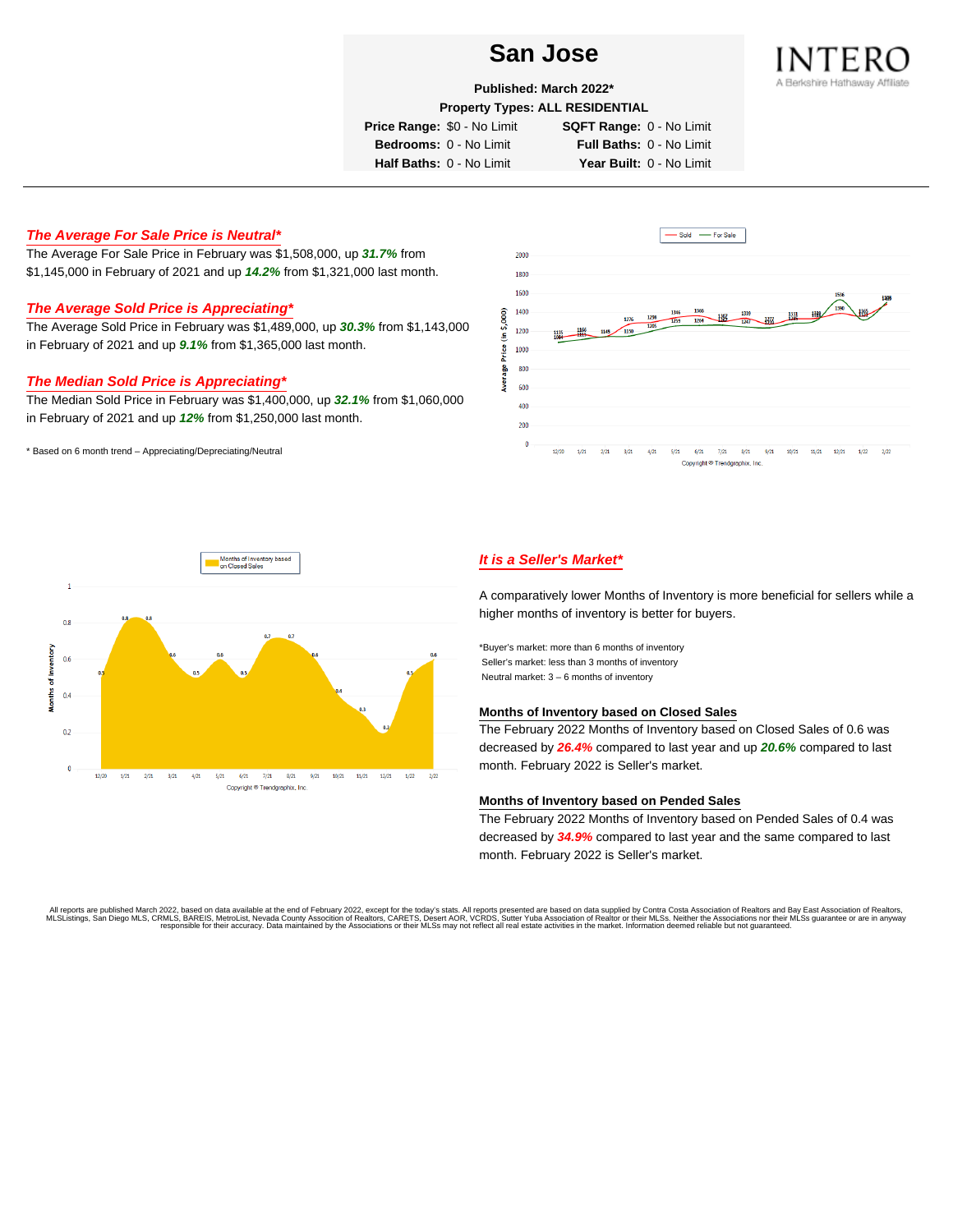

**Published: March 2022\***

**Property Types: ALL RESIDENTIAL**

**Price Range:** \$0 - No Limit **SQFT Range:** 0 - No Limit

**Bedrooms:** 0 - No Limit **Full Baths:** 0 - No Limit **Half Baths:** 0 - No Limit **Year Built:** 0 - No Limit

# **The Average For Sale Price is Neutral\***

The Average For Sale Price in February was \$1,508,000, up **31.7%** from \$1,145,000 in February of 2021 and up **14.2%** from \$1,321,000 last month.

### **The Average Sold Price is Appreciating\***

The Average Sold Price in February was \$1,489,000, up **30.3%** from \$1,143,000 in February of 2021 and up **9.1%** from \$1,365,000 last month.

## **The Median Sold Price is Appreciating\***

The Median Sold Price in February was \$1,400,000, up **32.1%** from \$1,060,000 in February of 2021 and up **12%** from \$1,250,000 last month.

\* Based on 6 month trend – Appreciating/Depreciating/Neutral





## **It is a Seller's Market\***

A comparatively lower Months of Inventory is more beneficial for sellers while a higher months of inventory is better for buyers.

\*Buyer's market: more than 6 months of inventory Seller's market: less than 3 months of inventory Neutral market: 3 – 6 months of inventory

#### **Months of Inventory based on Closed Sales**

The February 2022 Months of Inventory based on Closed Sales of 0.6 was decreased by **26.4%** compared to last year and up **20.6%** compared to last month. February 2022 is Seller's market.

#### **Months of Inventory based on Pended Sales**

The February 2022 Months of Inventory based on Pended Sales of 0.4 was decreased by **34.9%** compared to last year and the same compared to last month. February 2022 is Seller's market.

. All reports are published March 2022, based on data available at the end of February 2022, except for the today's stats. All reports presented are based on data supplied by Contra Costa Association of Realtors, San Bread responsible for their accuracy. Data maintained by the Associations or their MLSs may not reflect all real estate activities in the market. Information deemed reliable but not guaranteed.